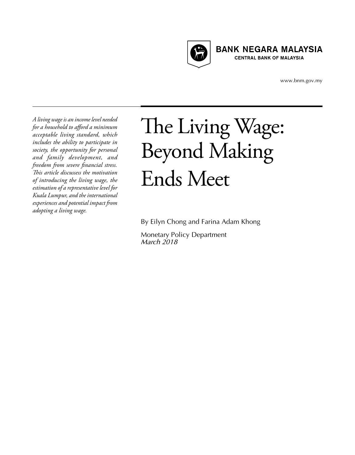

**BANK NEGARA MALAYSIA CENTRAL BANK OF MALAYSIA** 

www.bnm.gov.my

*A living wage is an income level needed for a household to afford a minimum acceptable living standard, which includes the ability to participate in society, the opportunity for personal and family development, and freedom from severe financial stress. This article discussess the motivation of introducing the living wage, the estimation of a representative level for Kuala Lumpur, and the international experiences and potential impact from adopting a living wage.*

# The Living Wage: Beyond Making Ends Meet

By Eilyn Chong and Farina Adam Khong

Monetary Policy Department *March 2018*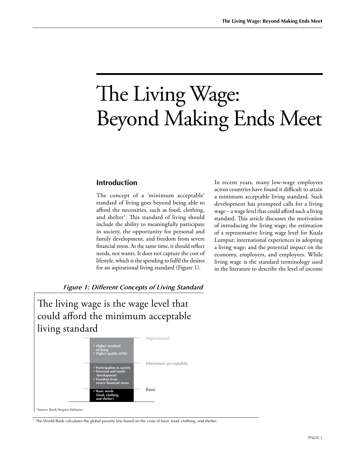# The Living Wage: Beyond Making Ends Meet

#### **Introduction**

The concept of a 'minimum acceptable' standard of living goes beyond being able to afford the necessities, such as food, clothing, and shelter<sup>1</sup>. This standard of living should include the ability to meaningfully participate in society, the opportunity for personal and family development, and freedom from severe financial stress. At the same time, it should reflect needs, not wants. It does not capture the cost of lifestyle, which is the spending to fulfil the desires for an aspirational living standard (Figure 1).

In recent years, many low-wage employees across countries have found it difficult to attain a minimum acceptable living standard. Such development has prompted calls for a living wage – a wage level that could afford such a living standard. This article discusses the motivation of introducing the living wage; the estimation of a representative living wage level for Kuala Lumpur; international experiences in adopting a living wage; and the potential impact on the economy, employers, and employees. While living wage is the standard terminology used in the literature to describe the level of income

*Figure 1: Different Concepts of Living Standard*

The living wage is the wage level that could afford the minimum acceptable living standard



Source: Bank Negara Malaysia

<sup>1</sup> The World Bank calculates the global poverty line based on the costs of basic food, clothing, and shelter.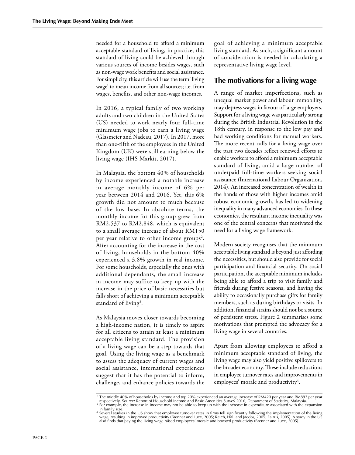needed for a household to afford a minimum acceptable standard of living, in practice, this standard of living could be achieved through various sources of income besides wages, such as non-wage work benefits and social assistance. For simplicity, this article will use the term 'living wage' to mean income from all sources; i.e. from wages, benefits, and other non-wage incomes.

In 2016, a typical family of two working adults and two children in the United States (US) needed to work nearly four full-time minimum wage jobs to earn a living wage (Glasmeier and Nadeau, 2017). In 2017, more than one-fifth of the employees in the United Kingdom (UK) were still earning below the living wage (IHS Markit, 2017).

In Malaysia, the bottom 40% of households by income experienced a notable increase in average monthly income of 6% per year between 2014 and 2016. Yet, this 6% growth did not amount to much because of the low base. In absolute terms, the monthly income for this group grew from RM2,537 to RM2,848, which is equivalent to a small average increase of about RM150 per year relative to other income groups<sup>2</sup>. After accounting for the increase in the cost of living, households in the bottom 40% experienced a 3.8% growth in real income. For some households, especially the ones with additional dependants, the small increase in income may suffice to keep up with the increase in the price of basic necessities but falls short of achieving a minimum acceptable standard of living<sup>3</sup>.

As Malaysia moves closer towards becoming a high-income nation, it is timely to aspire for all citizens to attain at least a minimum acceptable living standard. The provision of a living wage can be a step towards that goal. Using the living wage as a benchmark to assess the adequacy of current wages and social assistance, international experiences suggest that it has the potential to inform, challenge, and enhance policies towards the goal of achieving a minimum acceptable living standard. As such, a significant amount of consideration is needed in calculating a representative living wage level.

#### **The motivations for a living wage**

A range of market imperfections, such as unequal market power and labour immobility, may depress wages in favour of large employers. Support for a living wage was particularly strong during the British Industrial Revolution in the 18th century, in response to the low pay and bad working conditions for manual workers. The more recent calls for a living wage over the past two decades reflect renewed efforts to enable workers to afford a minimum acceptable standard of living, amid a large number of underpaid full-time workers seeking social assistance (International Labour Organization, 2014). An increased concentration of wealth in the hands of those with higher incomes amid robust economic growth, has led to widening inequality in many advanced economies. In these economies, the resultant income inequality was one of the central concerns that motivated the need for a living wage framework.

Modern society recognises that the minimum acceptable living standard is beyond just affording the necessities, but should also provide for social participation and financial security. On social participation, the acceptable minimum includes being able to afford a trip to visit family and friends during festive seasons, and having the ability to occasionally purchase gifts for family members, such as during birthdays or visits. In addition, financial strains should not be a source of persistent stress. Figure 2 summarises some motivations that prompted the advocacy for a living wage in several countries.

Apart from allowing employees to afford a minimum acceptable standard of living, the living wage may also yield positive spillovers to the broader economy. These include reductions in employee turnover rates and improvements in employees' morale and productivity<sup>4</sup>.

<sup>2</sup> The middle 40% of households by income and top 20% experienced an average increase of RM420 per year and RM892 per year respectively. Source: Report of Household Income and Basic Amenities Survey 2016, Department of Statistics, Malaysia.<br><sup>3</sup> For example, the increase in income may not be able to keep up with the increase in expenditure asso in family size.

<sup>&</sup>lt;sup>4</sup> Several studies in the US show that employee turnover rates in firms fell significantly following the implementation of the living<br>wage, resulting in improved productivity (Brenner and Luce, 2005; Reich, Hall and Jacob also finds that paying the living wage raised employees' morale and boosted productivity (Brenner and Luce, 2005).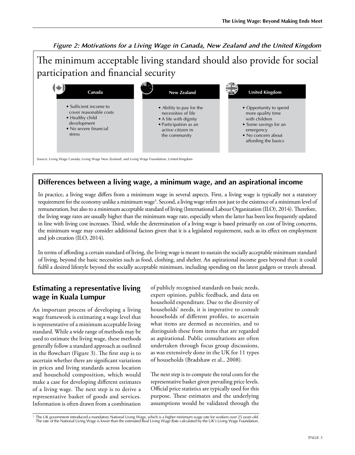*Figure 2: Motivations for a Living Wage in Canada, New Zealand and the United Kingdom* 

The minimum acceptable living standard should also provide for social participation and financial security

| Canada                                                                                                                | <b>New Zealand</b>                                                                                                                      | <b>United Kingdom</b>                                                                                                                            |
|-----------------------------------------------------------------------------------------------------------------------|-----------------------------------------------------------------------------------------------------------------------------------------|--------------------------------------------------------------------------------------------------------------------------------------------------|
| • Sufficient income to<br>cover reasonable costs<br>• Healthy child<br>development<br>• No severe financial<br>stress | • Ability to pay for the<br>necessities of life<br>• A life with dignity<br>• Participation as an<br>active citizen in<br>the community | • Opportunity to spend<br>more quality time<br>with children<br>• Some savings for an<br>emergency<br>• No concern about<br>affording the basics |

Source: Living Wage Canada; Living Wage New Zealand; and Living Wage Foundation, United Kingdom

# **Differences between a living wage, a minimum wage, and an aspirational income**

In practice, a living wage differs from a minimum wage in several aspects. First, a living wage is typically not a statutory requirement for the economy unlike a minimum wage<sup>5</sup>. Second, a living wage refers not just to the existence of a minimum level of remuneration, but also to a minimum acceptable standard of living (International Labour Organization (ILO), 2014). Therefore, the living wage rates are usually higher than the minimum wage rate, especially when the latter has been less frequently updated in line with living cost increases. Third, while the determination of a living wage is based primarily on cost of living concerns, the minimum wage may consider additional factors given that it is a legislated requirement, such as its effect on employment and job creation (ILO, 2014).

In terms of affording a certain standard of living, the living wage is meant to sustain the socially acceptable minimum standard of living, beyond the basic necessities such as food, clothing, and shelter. An aspirational income goes beyond that: it could fulfil a desired lifestyle beyond the socially acceptable minimum, including spending on the latest gadgets or travels abroad.

## **Estimating a representative living wage in Kuala Lumpur**

An important process of developing a living wage framework is estimating a wage level that is representative of a minimum acceptable living standard. While a wide range of methods may be used to estimate the living wage, these methods generally follow a standard approach as outlined in the flowchart (Figure 3). The first step is to ascertain whether there are significant variations in prices and living standards across location and household composition, which would make a case for developing different estimates of a living wage. The next step is to derive a representative basket of goods and services. Information is often drawn from a combination

of publicly recognised standards on basic needs, expert opinion, public feedback, and data on household expenditure. Due to the diversity of households' needs, it is imperative to consult households of different profiles, to ascertain what items are deemed as necessities, and to distinguish these from items that are regarded as aspirational. Public consultations are often undertaken through focus group discussions, as was extensively done in the UK for 11 types of households (Bradshaw et al., 2008).

The next step is to compute the total costs for the representative basket given prevailing price levels. Official price statistics are typically used for this purpose. These estimates and the underlying assumptions would be validated through the

<sup>&</sup>lt;sup>5</sup> The UK government introduced a mandatory National Living Wage, which is a higher minimum wage rate for workers over 25 years old.<br>The rate of the National Living Wage is lower than the estimated Real Living Wage Rate c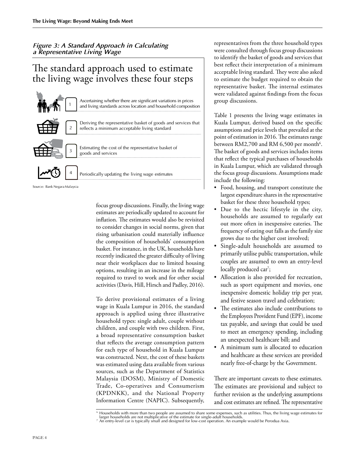#### *Figure 3: A Standard Approach in Calculating a Representative Living Wage*

# The standard approach used to estimate the living wage involves these four steps



Source: Bank Negara Malaysia

focus group discussions. Finally, the living wage estimates are periodically updated to account for inflation. The estimates would also be revisited to consider changes in social norms, given that rising urbanisation could materially influence the composition of households' consumption basket. For instance, in the UK, households have recently indicated the greater difficulty of living near their workplaces due to limited housing options, resulting in an increase in the mileage required to travel to work and for other social activities (Davis, Hill, Hirsch and Padley, 2016).

To derive provisional estimates of a living wage in Kuala Lumpur in 2016, the standard approach is applied using three illustrative household types: single adult, couple without children, and couple with two children. First, a broad representative consumption basket that reflects the average consumption pattern for each type of household in Kuala Lumpur was constructed. Next, the cost of these baskets was estimated using data available from various sources, such as the Department of Statistics Malaysia (DOSM), Ministry of Domestic Trade, Co-operatives and Consumerism (KPDNKK), and the National Property Information Centre (NAPIC). Subsequently, representatives from the three household types were consulted through focus group discussions to identify the basket of goods and services that best reflect their interpretation of a minimum acceptable living standard. They were also asked to estimate the budget required to obtain the representative basket. The internal estimates were validated against findings from the focus group discussions.

Table 1 presents the living wage estimates in Kuala Lumpur, derived based on the specific assumptions and price levels that prevailed at the point of estimation in 2016. The estimates range between RM2,700 and RM 6,500 per month $^6$ . The basket of goods and services includes items that reflect the typical purchases of households in Kuala Lumpur, which are validated through the focus group discussions. Assumptions made include the following:

- Food, housing, and transport constitute the largest expenditure shares in the representative basket for these three household types;
- • Due to the hectic lifestyle in the city, households are assumed to regularly eat out more often in inexpensive eateries. The frequency of eating out falls as the family size grows due to the higher cost involved;
- Single-adult households are assumed to primarily utilise public transportation, while couples are assumed to own an entry-level locally produced car<sup>7</sup>;
- • Allocation is also provided for recreation, such as sport equipment and movies, one inexpensive domestic holiday trip per year, and festive season travel and celebration;
- The estimates also include contributions to the Employees Provident Fund (EPF), income tax payable, and savings that could be used to meet an emergency spending, including an unexpected healthcare bill; and
- • A minimum sum is allocated to education and healthcare as these services are provided nearly free-of-charge by the Government.

There are important caveats to these estimates. The estimates are provisional and subject to further revision as the underlying assumptions and cost estimates are refined. The representative

 $^6$  Households with more than two people are assumed to share some expenses, such as utilities. Thus, the living wage estimates for<br>Iarger households are not multiplicative of the estimate for single-adult households.

<sup>7</sup> An entry-level car is typically small and designed for low-cost operation. An example would be Perodua Axia.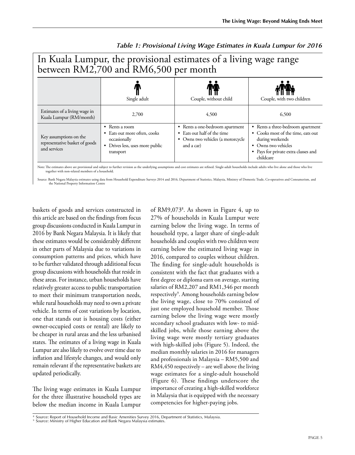| between RM2,700 and RM6,500 per month                                    |                                                                                                                      |                                                                                                                         |                                                                                                                                                                           |  |
|--------------------------------------------------------------------------|----------------------------------------------------------------------------------------------------------------------|-------------------------------------------------------------------------------------------------------------------------|---------------------------------------------------------------------------------------------------------------------------------------------------------------------------|--|
|                                                                          | Single adult                                                                                                         | Couple, without child                                                                                                   | Couple, with two children                                                                                                                                                 |  |
| Estimates of a living wage in<br>Kuala Lumpur (RM/month)                 | 2,700                                                                                                                | 4,500                                                                                                                   | 6,500                                                                                                                                                                     |  |
| Key assumptions on the<br>representative basket of goods<br>and services | Rents a room<br>٠<br>• Eats out more often, cooks<br>occasionally<br>Drives less, uses more public<br>٠<br>transport | Rents a one-bedroom apartment<br>٠<br>• Eats out half of the time<br>Owns two vehicles (a motorcycle<br>٠<br>and a car) | • Rents a three-bedroom apartment<br>• Cooks most of the time, eats out<br>during weekends<br>Owns two vehicles<br>٠<br>• Pays for private extra classes and<br>childcare |  |

In Kuala Lumpur, the provisional estimates of a living wage range

# *Table 1: Provisional Living Wage Estimates in Kuala Lumpur for 2016*

Note: The estimates above are provisional and subject to further revision as the underlying assumptions and cost estimates are refined. Single-adult households include adults who live alone and those who live together with non-related members of a household.

Source: Bank Negara Malaysia estimates using data from Household Expenditure Surveys 2014 and 2016, Department of Statistics, Malaysia, Ministry of Domestic Trade, Co-operatives and Consumerism, and the National Property Information Centre

baskets of goods and services constructed in this article are based on the findings from focus group discussions conducted in Kuala Lumpur in 2016 by Bank Negara Malaysia. It is likely that these estimates would be considerably different in other parts of Malaysia due to variations in consumption patterns and prices, which have to be further validated through additional focus group discussions with households that reside in these areas. For instance, urban households have relatively greater access to public transportation to meet their minimum transportation needs, while rural households may need to own a private vehicle. In terms of cost variations by location, one that stands out is housing costs (either owner-occupied costs or rental) are likely to be cheaper in rural areas and the less urbanised states. The estimates of a living wage in Kuala Lumpur are also likely to evolve over time due to inflation and lifestyle changes, and would only remain relevant if the representative baskets are updated periodically.

The living wage estimates in Kuala Lumpur for the three illustrative household types are below the median income in Kuala Lumpur

of RM9,0738 . As shown in Figure 4, up to 27% of households in Kuala Lumpur were earning below the living wage. In terms of household type, a larger share of single-adult households and couples with two children were earning below the estimated living wage in 2016, compared to couples without children. The finding for single-adult households is consistent with the fact that graduates with a first degree or diploma earn on average, starting salaries of RM2,207 and RM1,346 per month respectively<sup>9</sup>. Among households earning below the living wage, close to 70% consisted of just one employed household member. Those earning below the living wage were mostly secondary school graduates with low- to midskilled jobs, while those earning above the living wage were mostly tertiary graduates with high-skilled jobs (Figure 5). Indeed, the median monthly salaries in 2016 for managers and professionals in Malaysia – RM5,500 and RM4,450 respectively – are well above the living wage estimates for a single-adult household (Figure 6). These findings underscore the importance of creating a high-skilled workforce in Malaysia that is equipped with the necessary competencies for higher-paying jobs.

<sup>&</sup>lt;sup>8</sup> Source: Report of Household Income and Basic Amenities Survey 2016, Department of Statistics, Malaysia.<br><sup>9</sup> Source: Ministry of Higher Education and Bank Negara Malaysia estimates.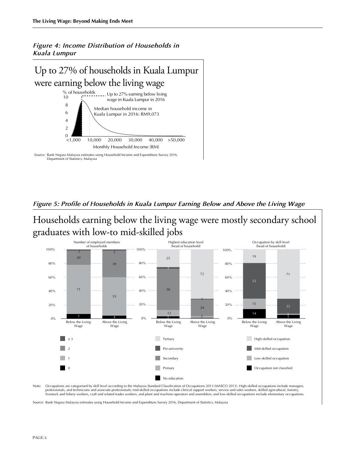*Figure 4: Income Distribution of Households in Kuala Lumpur*



#### *Figure 5: Profile of Households in Kuala Lumpur Earning Below and Above the Living Wage*

Households earning below the living wage were mostly secondary school graduates with low-to mid-skilled jobs



Note: Occupations are categorised by skill level according to the Malaysia Standard Classification of Occupations 2013 (MASCO 2013). High-skilled occupations include managers, professionals, and technicians and associate professionals; mid-skilled occupations include clerical support workers, service and sales workers, skilled agricultural, forestry, livestock and fishery workers, craft and related trades workers, and plant and machine-operators and assemblers; and low-skilled occupations include elementary occupations.

Source: Bank Negara Malaysia estimates using Household Income and Expenditure Survey 2016, Department of Statistics, Malaysia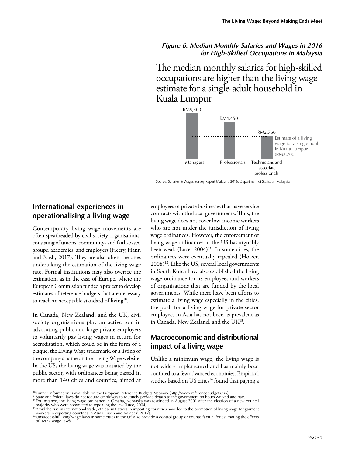*Figure 6: Median Monthly Salaries and Wages in 2016 for High-Skilled Occupations in Malaysia* 

The median monthly salaries for high-skilled occupations are higher than the living wage estimate for a single-adult household in Kuala Lumpur



Source: Salaries & Wages Survey Report Malaysia 2016, Department of Statistics, Malaysia

### **International experiences in operationalising a living wage**

Contemporary living wage movements are often spearheaded by civil society organisations, consisting of unions, community- and faith-based groups, academics, and employers (Heery, Hann and Nash, 2017). They are also often the ones undertaking the estimation of the living wage rate. Formal institutions may also oversee the estimation, as in the case of Europe, where the European Commission funded a project to develop estimates of reference budgets that are necessary to reach an acceptable standard of living<sup>10</sup>.

In Canada, New Zealand, and the UK, civil society organisations play an active role in advocating public and large private employers to voluntarily pay living wages in return for accreditation, which could be in the form of a plaque, the Living Wage trademark, or a listing of the company's name on the Living Wage website. In the US, the living wage was initiated by the public sector, with ordinances being passed in more than 140 cities and counties, aimed at

employees of private businesses that have service contracts with the local governments. Thus, the living wage does not cover low-income workers who are not under the jurisdiction of living wage ordinances. However, the enforcement of living wage ordinances in the US has arguably been weak (Luce,  $2004$ )<sup>11</sup>. In some cities, the ordinances were eventually repealed (Holzer, 2008)12. Like the US, several local governments in South Korea have also established the living wage ordinance for its employees and workers of organisations that are funded by the local governments. While there have been efforts to estimate a living wage especially in the cities, the push for a living wage for private sector employees in Asia has not been as prevalent as in Canada, New Zealand, and the UK13.

## **Macroeconomic and distributional impact of a living wage**

Unlike a minimum wage, the living wage is not widely implemented and has mainly been confined to a few advanced economies. Empirical studies based on US cities<sup>14</sup> found that paying a

<sup>&</sup>lt;sup>10</sup>Further information is available on the European Reference Budgets Network (http://www.referencebudgets.eu/).<br><sup>11</sup>State and federal laws do not require employers to routinely provide details to the government on hours

mate and recentrivation who were committed to repealing the law (Luce, 2004).<br>
<sup>13</sup>Amid the rise in international trade, ethical initiatives in importing countries have led to the promotion of living wage for garment<br>
<sup>13</sup>

workers in exporting countries in Asia (Hirsch and Valadez, 2017).<br>'\*Unsuccessful living wage laws in some cities in the US also provide a control group or counterfactual for estimating the effects of living wage laws.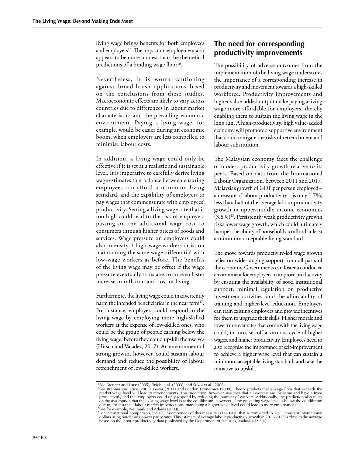living wage brings benefits for both employees and employers<sup>15</sup>. The impact on employment also appears to be more modest than the theoretical predictions of a binding wage floor $16$ .

Nevertheless, it is worth cautioning against broad-brush applications based on the conclusions from these studies. Macroeconomic effects are likely to vary across countries due to differences in labour market characteristics and the prevailing economic environment. Paying a living wage, for example, would be easier during an economic boom, when employers are less compelled to minimise labour costs.

In addition, a living wage could only be effective if it is set at a realistic and sustainable level. It is imperative to carefully derive living wage estimates that balance between ensuring employees can afford a minimum living standard, and the capability of employers to pay wages that commensurate with employees' productivity. Setting a living wage rate that is too high could lead to the risk of employers passing on the additional wage cost to consumers through higher prices of goods and services. Wage pressure on employers could also intensify if high-wage workers insist on maintaining the same wage differential with low-wage workers as before. The benefits of the living wage may be offset if the wage pressure eventually translates to an even faster increase in inflation and cost of living.

Furthermore, the living wage could inadvertently harm the intended beneficiaries in the near term<sup>17</sup>. For instance, employers could respond to the living wage by employing more high-skilled workers at the expense of low-skilled ones, who could be the group of people earning below the living wage, before they could upskill themselves (Hirsch and Valadez, 2017). An environment of strong growth, however, could sustain labour demand and reduce the possibility of labour retrenchment of low-skilled workers.

## **The need for corresponding productivity improvements**

The possibility of adverse outcomes from the implementation of the living wage underscores the importance of a corresponding increase in productivity and movement towards a high-skilled workforce. Productivity improvements and higher value-added output make paying a living wage more affordable for employers, thereby enabling them to sustain the living wage in the long run. A high-productivity, high value-added economy will promote a supportive environment that could mitigate the risks of retrenchment and labour substitution.

The Malaysian economy faces the challenge of modest productivity growth relative to its peers. Based on data from the International Labour Organization, between 2011 and 2017, Malaysia's growth of GDP per person employed – a measure of labour productivity – is only 1.7%, less than half of the average labour productivity growth in upper-middle income economies  $(3.8\%)$ <sup>18</sup>. Persistently weak productivity growth risks lower wage growth, which could ultimately hamper the ability of households to afford at least a minimum acceptable living standard.

The move towards productivity-led wage growth relies on wide-ranging support from all parts of the economy. Governments can foster a conducive environment for employers to improve productivity by ensuring the availability of good institutional support, minimal regulation on productive investment activities, and the affordability of training and higher-level education. Employers can train existing employees and provide incentives for them to upgrade their skills. Higher morale and lower turnover rates that come with the living wage could, in turn, set off a virtuous cycle of higher wages, and higher productivity. Employees need to also recognise the importance of self-improvement to achieve a higher wage level that can sustain a minimum acceptable living standard, and take the initiative to upskill.

<sup>&</sup>lt;sup>15</sup>See Brenner and Luce (2005), Reich et al. (2003), and Sokol et al. (2006).<br><sup>16</sup>See Brenner and Luce (2005), Lester (2011) and London Economics (2009). Theory predicts that a wage floor that exceeds the market wage lev

dollars using purchasing power parity rates. This estimate of average labour productivity growth in 2011-2017 is close to the average<br>based on the labour productivity data published by the Department of Statistics, Malaysi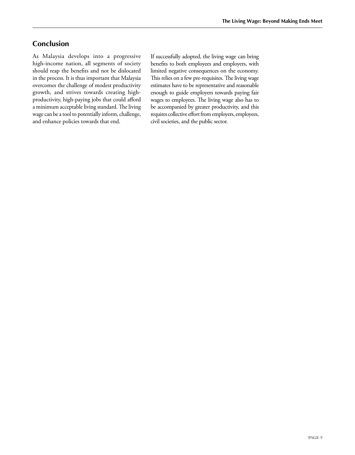#### **Conclusion**

As Malaysia develops into a progressive high-income nation, all segments of society should reap the benefits and not be dislocated in the process. It is thus important that Malaysia overcomes the challenge of modest productivity growth, and strives towards creating highproductivity, high-paying jobs that could afford a minimum acceptable living standard. The living wage can be a tool to potentially inform, challenge, and enhance policies towards that end.

If successfully adopted, the living wage can bring benefits to both employees and employers, with limited negative consequences on the economy. This relies on a few pre-requisites. The living wage estimates have to be representative and reasonable enough to guide employers towards paying fair wages to employees. The living wage also has to be accompanied by greater productivity, and this requires collective effort from employers, employees, civil societies, and the public sector.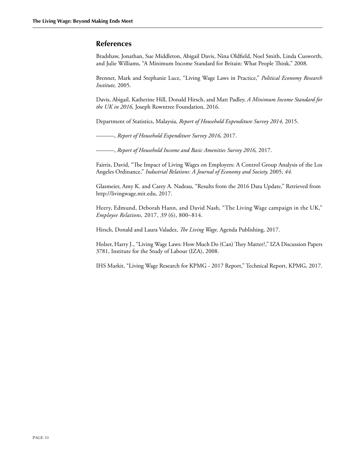#### **References**

Bradshaw, Jonathan, Sue Middleton, Abigail Davis, Nina Oldfield, Noel Smith, Linda Cusworth, and Julie Williams, "A Minimum Income Standard for Britain: What People Think," 2008.

Brenner, Mark and Stephanie Luce, "Living Wage Laws in Practice," *Political Economy Research Institute,* 2005.

Davis, Abigail, Katherine Hill, Donald Hirsch, and Matt Padley, *A Minimum Income Standard for the UK in 2016,* Joseph Rowntree Foundation, 2016.

Department of Statistics, Malaysia, *Report of Household Expenditure Survey 2014,* 2015.

———, *Report of Household Expenditure Survey 2016,* 2017.

———, *Report of Household Income and Basic Amenities Survey 2016,* 2017.

Fairris, David, "The Impact of Living Wages on Employers: A Control Group Analysis of the Los Angeles Ordinance," *Industrial Relations: A Journal of Economy and Society,* 2005, *44.*

Glasmeier, Amy K. and Carey A. Nadeau, "Results from the 2016 Data Update," Retrieved from http://livingwage.mit.edu, 2017.

Heery, Edmund, Deborah Hann, and David Nash, "The Living Wage campaign in the UK," *Employee Relations,* 2017, *39* (6), 800–814.

Hirsch, Donald and Laura Valadez, *The Living Wage,* Agenda Publishing, 2017.

Holzer, Harry J., "Living Wage Laws: How Much Do (Can) They Matter?," IZA Discussion Papers 3781, Institute for the Study of Labour (IZA), 2008.

IHS Markit, "Living Wage Research for KPMG - 2017 Report," Technical Report, KPMG, 2017.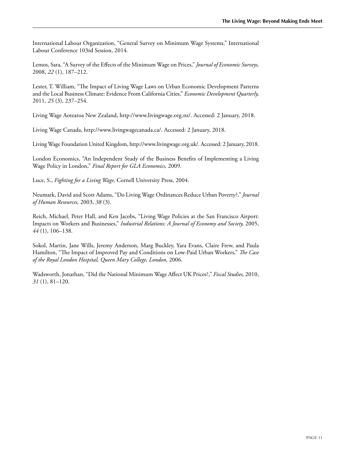International Labour Organization, "General Survey on Minimum Wage Systems," International Labour Conference 103rd Session, 2014.

Lemos, Sara, "A Survey of the Effects of the Minimum Wage on Prices," *Journal of Economic Surveys,*  2008, *22* (1), 187–212.

Lester, T. William, "The Impact of Living Wage Laws on Urban Economic Development Patterns and the Local Business Climate: Evidence From California Cities," *Economic Development Quarterly,*  2011, *25* (3), 237–254.

Living Wage Aotearoa New Zealand, http://www.livingwage.org.nz/. Accessed: 2 January, 2018.

Living Wage Canada, http://www.livingwagecanada.ca/. Accessed: 2 January, 2018.

Living Wage Foundation United Kingdom, http://www.livingwage.org.uk/. Accessed: 2 January, 2018.

London Economics, "An Independent Study of the Business Benefits of Implementing a Living Wage Policy in London," *Final Report for GLA Economics,* 2009.

Luce, S., *Fighting for a Living Wage,* Cornell University Press, 2004.

Neumark, David and Scott Adams, "Do Living Wage Ordinances Reduce Urban Poverty?," *Journal of Human Resources,* 2003, *38* (3).

Reich, Michael, Peter Hall, and Ken Jacobs, "Living Wage Policies at the San Francisco Airport: Impacts on Workers and Businesses," *Industrial Relations: A Journal of Economy and Society,* 2005, *44* (1), 106–138.

Sokol, Martin, Jane Wills, Jeremy Anderson, Marg Buckley, Yara Evans, Claire Frew, and Paula Hamilton, "The Impact of Improved Pay and Conditions on Low-Paid Urban Workers," *The Case of the Royal London Hospital, Queen Mary College, London,* 2006.

Wadsworth, Jonathan, "Did the National Minimum Wage Affect UK Prices?," *Fiscal Studies,* 2010, *31* (1), 81–120.